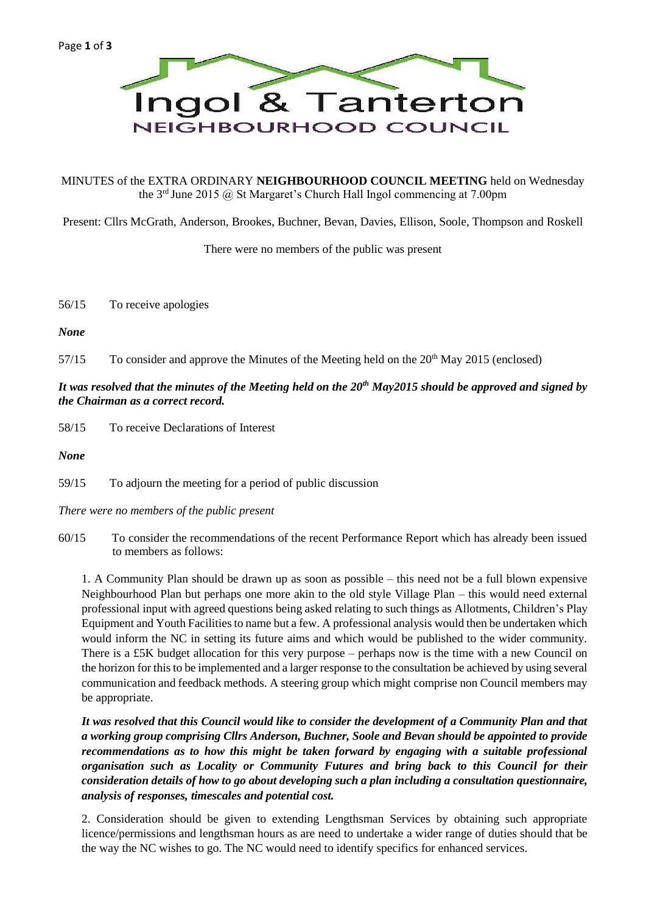

#### MINUTES of the EXTRA ORDINARY **NEIGHBOURHOOD COUNCIL MEETING** held on Wednesday the 3rd June 2015 @ St Margaret's Church Hall Ingol commencing at 7.00pm

Present: Cllrs McGrath, Anderson, Brookes, Buchner, Bevan, Davies, Ellison, Soole, Thompson and Roskell

There were no members of the public was present

56/15 To receive apologies

*None*

 $57/15$  To consider and approve the Minutes of the Meeting held on the  $20<sup>th</sup>$  May 2015 (enclosed)

# *It was resolved that the minutes of the Meeting held on the 20th May2015 should be approved and signed by the Chairman as a correct record.*

58/15 To receive Declarations of Interest

*None*

59/15 To adjourn the meeting for a period of public discussion

*There were no members of the public present*

60/15 To consider the recommendations of the recent Performance Report which has already been issued to members as follows:

1. A Community Plan should be drawn up as soon as possible – this need not be a full blown expensive Neighbourhood Plan but perhaps one more akin to the old style Village Plan – this would need external professional input with agreed questions being asked relating to such things as Allotments, Children's Play Equipment and Youth Facilities to name but a few. A professional analysis would then be undertaken which would inform the NC in setting its future aims and which would be published to the wider community. There is a £5K budget allocation for this very purpose – perhaps now is the time with a new Council on the horizon for this to be implemented and a larger response to the consultation be achieved by using several communication and feedback methods. A steering group which might comprise non Council members may be appropriate.

*It was resolved that this Council would like to consider the development of a Community Plan and that a working group comprising Cllrs Anderson, Buchner, Soole and Bevan should be appointed to provide recommendations as to how this might be taken forward by engaging with a suitable professional organisation such as Locality or Community Futures and bring back to this Council for their consideration details of how to go about developing such a plan including a consultation questionnaire, analysis of responses, timescales and potential cost.*

2. Consideration should be given to extending Lengthsman Services by obtaining such appropriate licence/permissions and lengthsman hours as are need to undertake a wider range of duties should that be the way the NC wishes to go. The NC would need to identify specifics for enhanced services.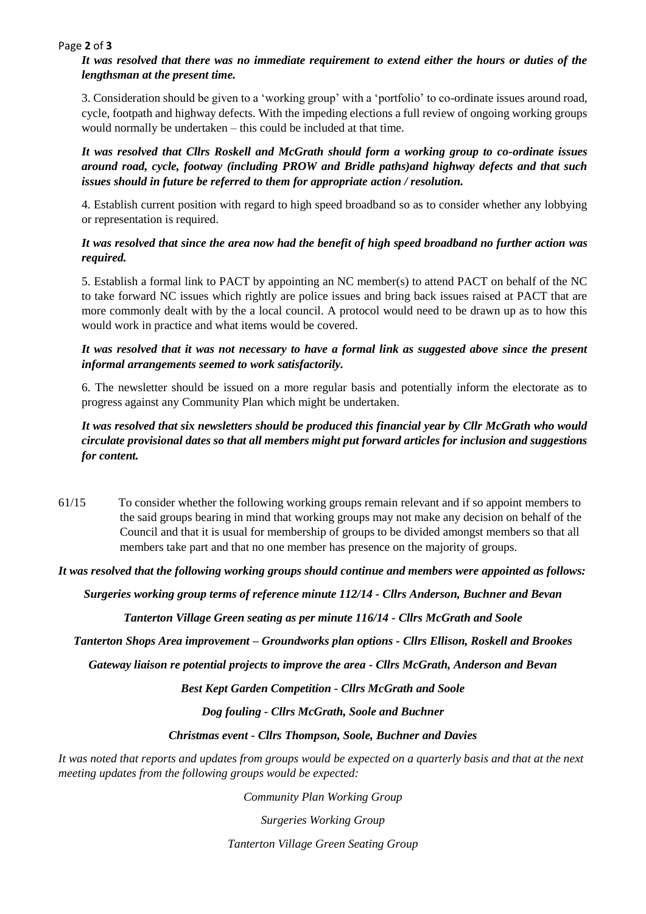#### Page **2** of **3**

## *It was resolved that there was no immediate requirement to extend either the hours or duties of the lengthsman at the present time.*

3. Consideration should be given to a 'working group' with a 'portfolio' to co-ordinate issues around road, cycle, footpath and highway defects. With the impeding elections a full review of ongoing working groups would normally be undertaken – this could be included at that time.

*It was resolved that Cllrs Roskell and McGrath should form a working group to co-ordinate issues around road, cycle, footway (including PROW and Bridle paths)and highway defects and that such issues should in future be referred to them for appropriate action / resolution.*

4. Establish current position with regard to high speed broadband so as to consider whether any lobbying or representation is required.

## *It was resolved that since the area now had the benefit of high speed broadband no further action was required.*

5. Establish a formal link to PACT by appointing an NC member(s) to attend PACT on behalf of the NC to take forward NC issues which rightly are police issues and bring back issues raised at PACT that are more commonly dealt with by the a local council. A protocol would need to be drawn up as to how this would work in practice and what items would be covered.

## *It was resolved that it was not necessary to have a formal link as suggested above since the present informal arrangements seemed to work satisfactorily.*

6. The newsletter should be issued on a more regular basis and potentially inform the electorate as to progress against any Community Plan which might be undertaken.

# *It was resolved that six newsletters should be produced this financial year by Cllr McGrath who would circulate provisional dates so that all members might put forward articles for inclusion and suggestions for content.*

61/15 To consider whether the following working groups remain relevant and if so appoint members to the said groups bearing in mind that working groups may not make any decision on behalf of the Council and that it is usual for membership of groups to be divided amongst members so that all members take part and that no one member has presence on the majority of groups.

*It was resolved that the following working groups should continue and members were appointed as follows:*

*Surgeries working group terms of reference minute 112/14 - Cllrs Anderson, Buchner and Bevan*

*Tanterton Village Green seating as per minute 116/14 - Cllrs McGrath and Soole*

*Tanterton Shops Area improvement – Groundworks plan options - Cllrs Ellison, Roskell and Brookes*

*Gateway liaison re potential projects to improve the area - Cllrs McGrath, Anderson and Bevan*

*Best Kept Garden Competition - Cllrs McGrath and Soole*

*Dog fouling - Cllrs McGrath, Soole and Buchner*

*Christmas event - Cllrs Thompson, Soole, Buchner and Davies*

*It was noted that reports and updates from groups would be expected on a quarterly basis and that at the next meeting updates from the following groups would be expected:*

*Community Plan Working Group*

*Surgeries Working Group*

*Tanterton Village Green Seating Group*